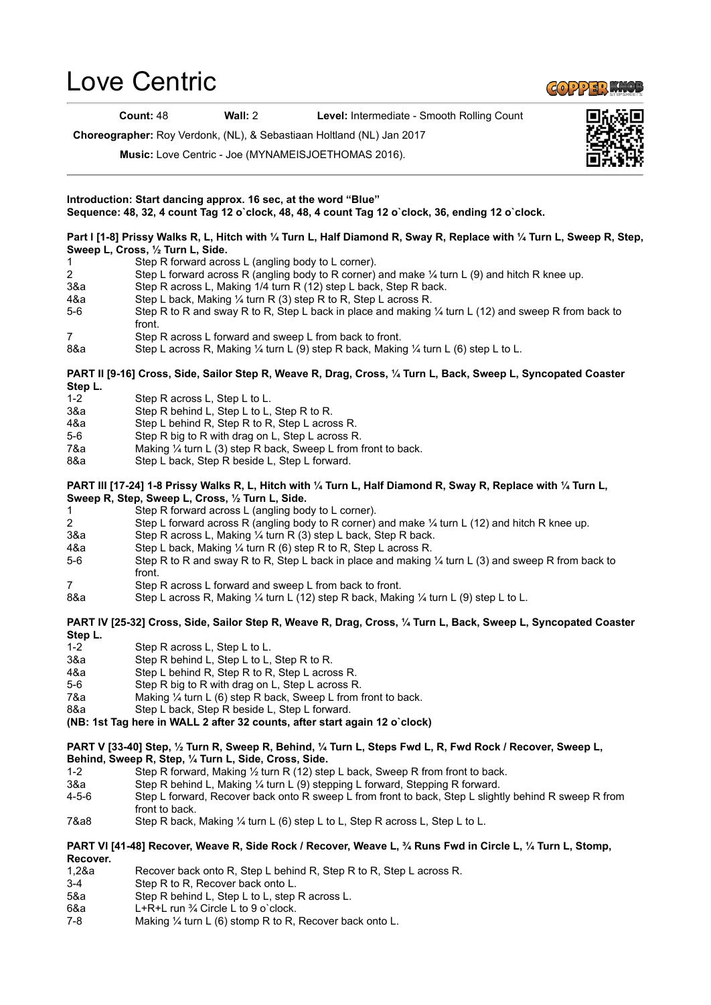## [Love Centric](https://www.copperknob.co.uk/stepsheets/love-centric-ID115690.aspx)

Count: 48 Wall: 2 Level: Intermediate - Smooth Rolling Count

Choreographer: Roy Verdonk, (NL), & Sebastiaan Holtland (NL) Jan 2017

Music: Love Centric - Joe (MYNAMEISJOETHOMAS 2016).



- 
- 3-4 Step R to R, Recover back onto L.
- 5&a Step R behind L, Step L to L, step R across L.
- 6&a L+R+L run ¾ Circle L to 9 o`clock.
- 7-8 Making ¼ turn L (6) stomp R to R, Recover back onto L.